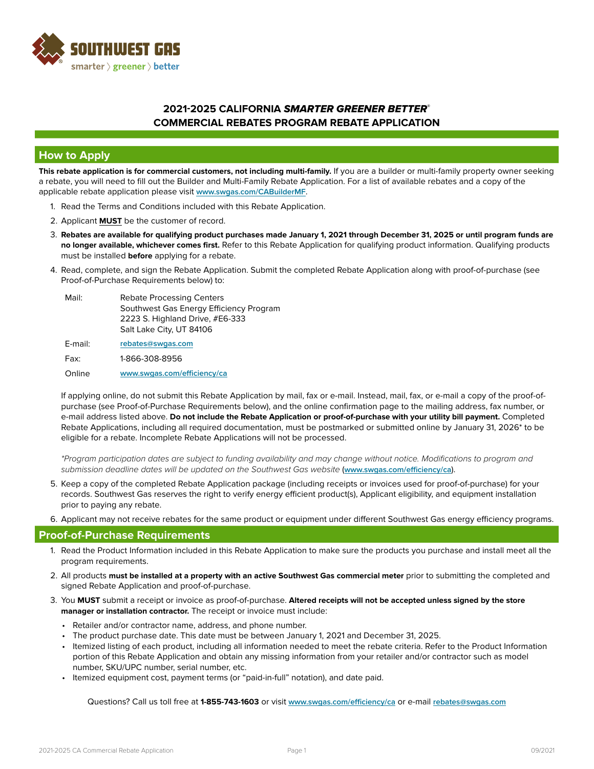

### **How to Apply**

**This rebate application is for commercial customers, not including multi-family.** If you are a builder or multi-family property owner seeking a rebate, you will need to fill out the Builder and Multi-Family Rebate Application. For a list of available rebates and a copy of the applicable rebate application please visit **[www.swgas.com/CABuilderMF](http://www.swgas.com/CABuilderMF)**.

- 1. Read the Terms and Conditions included with this Rebate Application.
- 2. Applicant **MUST** be the customer of record.
- 3. **Rebates are available for qualifying product purchases made January 1, 2021 through December 31, 2025 or until program funds are no longer available, whichever comes first.** Refer to this Rebate Application for qualifying product information. Qualifying products must be installed **before** applying for a rebate.
- 4. Read, complete, and sign the Rebate Application. Submit the completed Rebate Application along with proof-of-purchase (see Proof-of-Purchase Requirements below) to:

| Mail:   | <b>Rebate Processing Centers</b><br>Southwest Gas Energy Efficiency Program<br>2223 S. Highland Drive, #E6-333<br>Salt Lake City, UT 84106 |
|---------|--------------------------------------------------------------------------------------------------------------------------------------------|
| E-mail: | rebates@swgas.com                                                                                                                          |
| Fax:    | 1-866-308-8956                                                                                                                             |
| Online  | www.swgas.com/efficiency/ca                                                                                                                |

If applying online, do not submit this Rebate Application by mail, fax or e-mail. Instead, mail, fax, or e-mail a copy of the proof-ofpurchase (see Proof-of-Purchase Requirements below), and the online confirmation page to the mailing address, fax number, or e-mail address listed above. **Do not include the Rebate Application or proof-of-purchase with your utility bill payment.** Completed Rebate Applications, including all required documentation, must be postmarked or submitted online by January 31, 2026\* to be eligible for a rebate. Incomplete Rebate Applications will not be processed.

*\*Program participation dates are subject to funding availability and may change without notice. Modifications to program and submission deadline dates will be updated on the Southwest Gas website* (**[www.swgas.com/efficiency/ca](http://swgas.com/efficiency/ca)**).

- 5. Keep a copy of the completed Rebate Application package (including receipts or invoices used for proof-of-purchase) for your records. Southwest Gas reserves the right to verify energy efficient product(s), Applicant eligibility, and equipment installation prior to paying any rebate.
- 6. Applicant may not receive rebates for the same product or equipment under different Southwest Gas energy efficiency programs.

#### **Proof-of-Purchase Requirements**

- 1. Read the Product Information included in this Rebate Application to make sure the products you purchase and install meet all the program requirements.
- 2. All products **must be installed at a property with an active Southwest Gas commercial meter** prior to submitting the completed and signed Rebate Application and proof-of-purchase.
- 3. You **MUST** submit a receipt or invoice as proof-of-purchase. **Altered receipts will not be accepted unless signed by the store manager or installation contractor.** The receipt or invoice must include:
	- Retailer and/or contractor name, address, and phone number.
	- The product purchase date. This date must be between January 1, 2021 and December 31, 2025.
	- Itemized listing of each product, including all information needed to meet the rebate criteria. Refer to the Product Information portion of this Rebate Application and obtain any missing information from your retailer and/or contractor such as model number, SKU/UPC number, serial number, etc.
	- Itemized equipment cost, payment terms (or "paid-in-full" notation), and date paid.

Questions? Call us toll free at **1-855-743-1603** or visit **[www.swgas.com/efficiency/ca](http://www.swgas.com/efficiency/ca)** or e-mail **[rebates@swgas.com](mailto:rebates%40swgas.com?subject=)**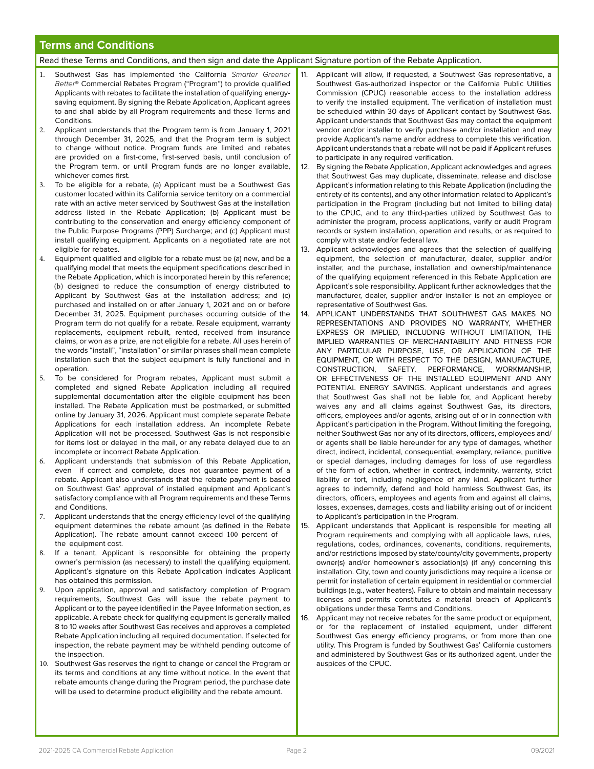### **Terms and Conditions**

#### Read these Terms and Conditions, and then sign and date the Applicant Signature portion of the Rebate Application.

- 1. Southwest Gas has implemented the California *Smarter Greener Better*® Commercial Rebates Program ("Program") to provide qualified Applicants with rebates to facilitate the installation of qualifying energysaving equipment. By signing the Rebate Application, Applicant agrees to and shall abide by all Program requirements and these Terms and Conditions.
- 2. Applicant understands that the Program term is from January 1, 2021 through December 31, 2025, and that the Program term is subject to change without notice. Program funds are limited and rebates are provided on a first-come, first-served basis, until conclusion of the Program term, or until Program funds are no longer available, whichever comes first.
- 3. To be eligible for a rebate, (a) Applicant must be a Southwest Gas customer located within its California service territory on a commercial rate with an active meter serviced by Southwest Gas at the installation address listed in the Rebate Application; (b) Applicant must be contributing to the conservation and energy efficiency component of the Public Purpose Programs (PPP) Surcharge; and (c) Applicant must install qualifying equipment. Applicants on a negotiated rate are not eligible for rebates.
- 4. Equipment qualified and eligible for a rebate must be (a) new, and be a qualifying model that meets the equipment specifications described in the Rebate Application, which is incorporated herein by this reference; (b) designed to reduce the consumption of energy distributed to Applicant by Southwest Gas at the installation address; and (c) purchased and installed on or after January 1, 2021 and on or before December 31, 2025. Equipment purchases occurring outside of the Program term do not qualify for a rebate. Resale equipment, warranty replacements, equipment rebuilt, rented, received from insurance claims, or won as a prize, are not eligible for a rebate. All uses herein of the words "install", "installation" or similar phrases shall mean complete installation such that the subject equipment is fully functional and in operation.
- 5. To be considered for Program rebates, Applicant must submit a completed and signed Rebate Application including all required supplemental documentation after the eligible equipment has been installed. The Rebate Application must be postmarked, or submitted online by January 31, 2026. Applicant must complete separate Rebate Applications for each installation address. An incomplete Rebate Application will not be processed. Southwest Gas is not responsible for items lost or delayed in the mail, or any rebate delayed due to an incomplete or incorrect Rebate Application.
- 6. Applicant understands that submission of this Rebate Application, even if correct and complete, does not guarantee payment of a rebate. Applicant also understands that the rebate payment is based on Southwest Gas' approval of installed equipment and Applicant's satisfactory compliance with all Program requirements and these Terms and Conditions.
- 7. Applicant understands that the energy efficiency level of the qualifying equipment determines the rebate amount (as defined in the Rebate Application). The rebate amount cannot exceed 100 percent of the equipment cost.
- 8. If a tenant, Applicant is responsible for obtaining the property owner's permission (as necessary) to install the qualifying equipment. Applicant's signature on this Rebate Application indicates Applicant has obtained this permission.
- 9. Upon application, approval and satisfactory completion of Program requirements, Southwest Gas will issue the rebate payment to Applicant or to the payee identified in the Payee Information section, as applicable. A rebate check for qualifying equipment is generally mailed 8 to 10 weeks after Southwest Gas receives and approves a completed Rebate Application including all required documentation. If selected for inspection, the rebate payment may be withheld pending outcome of the inspection.
- 10. Southwest Gas reserves the right to change or cancel the Program or its terms and conditions at any time without notice. In the event that rebate amounts change during the Program period, the purchase date will be used to determine product eligibility and the rebate amount.
- 11. Applicant will allow, if requested, a Southwest Gas representative, a Southwest Gas-authorized inspector or the California Public Utilities Commission (CPUC) reasonable access to the installation address to verify the installed equipment. The verification of installation must be scheduled within 30 days of Applicant contact by Southwest Gas. Applicant understands that Southwest Gas may contact the equipment vendor and/or installer to verify purchase and/or installation and may provide Applicant's name and/or address to complete this verification. Applicant understands that a rebate will not be paid if Applicant refuses to participate in any required verification.
- 12. By signing the Rebate Application, Applicant acknowledges and agrees that Southwest Gas may duplicate, disseminate, release and disclose Applicant's information relating to this Rebate Application (including the entirety of its contents), and any other information related to Applicant's participation in the Program (including but not limited to billing data) to the CPUC, and to any third-parties utilized by Southwest Gas to administer the program, process applications, verify or audit Program records or system installation, operation and results, or as required to comply with state and/or federal law.
- 13. Applicant acknowledges and agrees that the selection of qualifying equipment, the selection of manufacturer, dealer, supplier and/or installer, and the purchase, installation and ownership/maintenance of the qualifying equipment referenced in this Rebate Application are Applicant's sole responsibility. Applicant further acknowledges that the manufacturer, dealer, supplier and/or installer is not an employee or representative of Southwest Gas.
- 14. APPLICANT UNDERSTANDS THAT SOUTHWEST GAS MAKES NO REPRESENTATIONS AND PROVIDES NO WARRANTY, WHETHER EXPRESS OR IMPLIED, INCLUDING WITHOUT LIMITATION, THE IMPLIED WARRANTIES OF MERCHANTABILITY AND FITNESS FOR ANY PARTICULAR PURPOSE, USE, OR APPLICATION OF THE EQUIPMENT, OR WITH RESPECT TO THE DESIGN, MANUFACTURE, CONSTRUCTION, SAFETY, PERFORMANCE, WORKMANSHIP, OR EFFECTIVENESS OF THE INSTALLED EQUIPMENT AND ANY POTENTIAL ENERGY SAVINGS. Applicant understands and agrees that Southwest Gas shall not be liable for, and Applicant hereby waives any and all claims against Southwest Gas, its directors, officers, employees and/or agents, arising out of or in connection with Applicant's participation in the Program. Without limiting the foregoing, neither Southwest Gas nor any of its directors, officers, employees and/ or agents shall be liable hereunder for any type of damages, whether direct, indirect, incidental, consequential, exemplary, reliance, punitive or special damages, including damages for loss of use regardless of the form of action, whether in contract, indemnity, warranty, strict liability or tort, including negligence of any kind. Applicant further agrees to indemnify, defend and hold harmless Southwest Gas, its directors, officers, employees and agents from and against all claims, losses, expenses, damages, costs and liability arising out of or incident to Applicant's participation in the Program.
- 15. Applicant understands that Applicant is responsible for meeting all Program requirements and complying with all applicable laws, rules, regulations, codes, ordinances, covenants, conditions, requirements, and/or restrictions imposed by state/county/city governments, property owner(s) and/or homeowner's association(s) (if any) concerning this installation. City, town and county jurisdictions may require a license or permit for installation of certain equipment in residential or commercial buildings (e.g., water heaters). Failure to obtain and maintain necessary licenses and permits constitutes a material breach of Applicant's obligations under these Terms and Conditions.
- 16. Applicant may not receive rebates for the same product or equipment, or for the replacement of installed equipment, under different Southwest Gas energy efficiency programs, or from more than one utility. This Program is funded by Southwest Gas' California customers and administered by Southwest Gas or its authorized agent, under the auspices of the CPUC.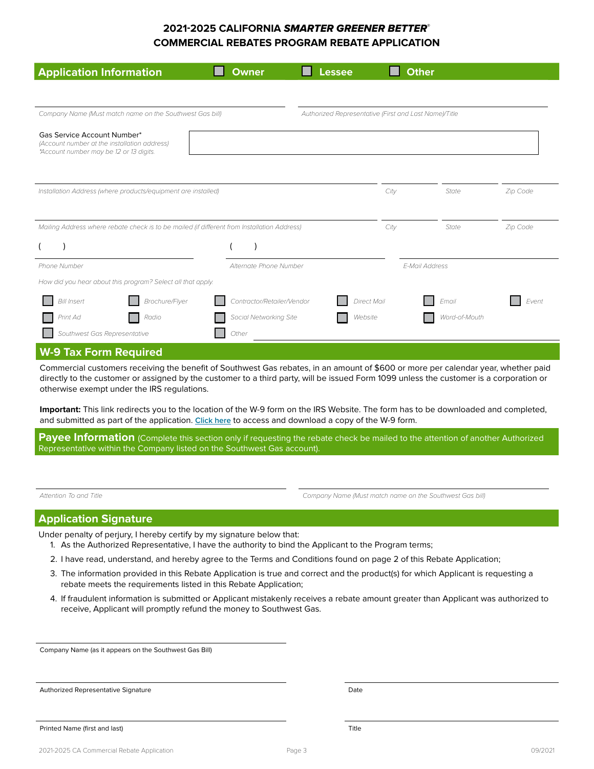| <b>Application Information</b>                                                                                         | <b>Owner</b>               | <b>Lessee</b> |                    | <b>Other</b>   |               |          |
|------------------------------------------------------------------------------------------------------------------------|----------------------------|---------------|--------------------|----------------|---------------|----------|
|                                                                                                                        |                            |               |                    |                |               |          |
| Company Name (Must match name on the Southwest Gas bill)<br>Authorized Representative (First and Last Name)/Title      |                            |               |                    |                |               |          |
| Gas Service Account Number*<br>(Account number at the installation address)<br>*Account number may be 12 or 13 digits. |                            |               |                    |                |               |          |
| Installation Address (where products/equipment are installed)                                                          |                            |               | City               |                | State         | Zip Code |
| Mailing Address where rebate check is to be mailed (if different from Installation Address)                            |                            |               | City               |                | State         | Zip Code |
|                                                                                                                        |                            |               |                    |                |               |          |
| Phone Number                                                                                                           | Alternate Phone Number     |               |                    | E-Mail Address |               |          |
| How did you hear about this program? Select all that apply.                                                            |                            |               |                    |                |               |          |
| Brochure/Flyer<br><b>Bill Insert</b>                                                                                   | Contractor/Retailer/Vendor |               | <b>Direct Mail</b> |                | Email         | Event    |
| Print Ad<br>Radio                                                                                                      | Social Networking Site     |               | Website            |                | Word-of-Mouth |          |
| Southwest Gas Representative                                                                                           | Other                      |               |                    |                |               |          |
| <b>W-9 Tax Form Required</b>                                                                                           |                            |               |                    |                |               |          |

Commercial customers receiving the benefit of Southwest Gas rebates, in an amount of \$600 or more per calendar year, whether paid directly to the customer or assigned by the customer to a third party, will be issued Form 1099 unless the customer is a corporation or otherwise exempt under the IRS regulations.

**Important:** This link redirects you to the location of the W-9 form on the IRS Website. The form has to be downloaded and completed, and submitted as part of the application. **[Click here](https://www.irs.gov/forms-pubs/about-form-1099-misc)** to access and download a copy of the W-9 form.

**Payee Information** (Complete this section only if requesting the rebate check be mailed to the attention of another Authorized Representative within the Company listed on the Southwest Gas account).

*Attention To and Title Company Name (Must match name on the Southwest Gas bill)*

### **Application Signature**

Under penalty of perjury, I hereby certify by my signature below that:

- 1. As the Authorized Representative, I have the authority to bind the Applicant to the Program terms;
- 2. I have read, understand, and hereby agree to the Terms and Conditions found on page 2 of this Rebate Application;
- 3. The information provided in this Rebate Application is true and correct and the product(s) for which Applicant is requesting a rebate meets the requirements listed in this Rebate Application;
- 4. If fraudulent information is submitted or Applicant mistakenly receives a rebate amount greater than Applicant was authorized to receive, Applicant will promptly refund the money to Southwest Gas.

Company Name (as it appears on the Southwest Gas Bill)

Authorized Representative Signature

Date

Printed Name (first and last)

Title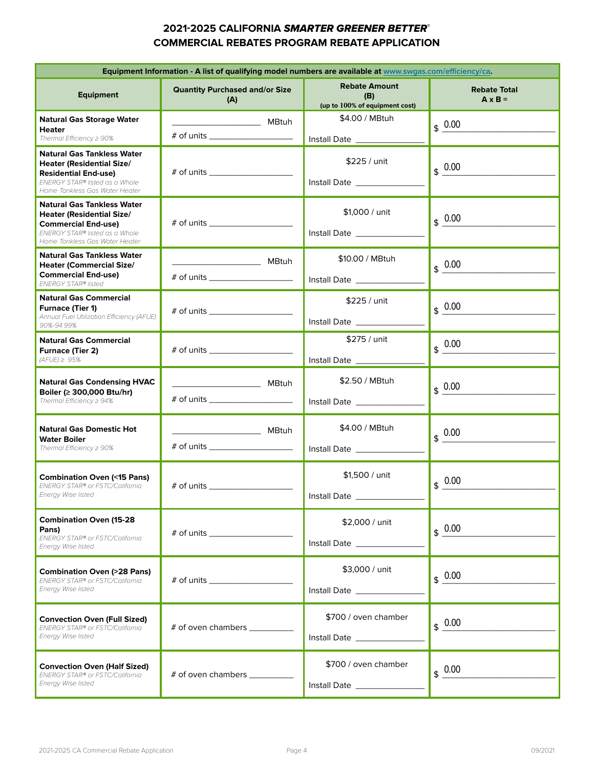| Equipment Information - A list of qualifying model numbers are available at www.swgas.com/efficiency/ca.                                                                 |                                                                                                               |                                              |                                          |  |  |  |
|--------------------------------------------------------------------------------------------------------------------------------------------------------------------------|---------------------------------------------------------------------------------------------------------------|----------------------------------------------|------------------------------------------|--|--|--|
| <b>Equipment</b>                                                                                                                                                         | <b>Rebate Amount</b><br><b>Quantity Purchased and/or Size</b><br>(B)<br>(A)<br>(up to 100% of equipment cost) |                                              | <b>Rebate Total</b><br>$A \times B =$    |  |  |  |
| <b>Natural Gas Storage Water</b>                                                                                                                                         |                                                                                                               | \$4.00 / MBtuh                               | $$ \frac{0.00}{ }$                       |  |  |  |
| <b>Heater</b><br>Thermal Efficiency $\geq 90\%$                                                                                                                          |                                                                                                               |                                              |                                          |  |  |  |
| <b>Natural Gas Tankless Water</b><br><b>Heater (Residential Size/</b><br><b>Residential End-use)</b><br>ENERGY STAR® listed as a Whole<br>Home Tankless Gas Water Heater |                                                                                                               | \$225 / unit                                 | $0.00\,$<br>\$                           |  |  |  |
| <b>Natural Gas Tankless Water</b><br><b>Heater (Residential Size/</b><br><b>Commercial End-use)</b><br>ENERGY STAR® listed as a Whole<br>Home Tankless Gas Water Heater  |                                                                                                               | \$1,000 / unit<br>Install Date _____________ | $\frac{6}{9}$ 0.00                       |  |  |  |
| <b>Natural Gas Tankless Water</b>                                                                                                                                        |                                                                                                               | \$10.00 / MBtuh                              |                                          |  |  |  |
| <b>Heater (Commercial Size/</b><br><b>Commercial End-use)</b><br><b>ENERGY STAR®</b> listed                                                                              | # of units ______________________                                                                             |                                              | $\frac{0.00}{2}$                         |  |  |  |
| <b>Natural Gas Commercial</b><br><b>Furnace (Tier 1)</b><br>Annual Fuel Utilization Efficiency (AFUE)<br>90%-94.99%                                                      |                                                                                                               | \$225 / unit<br>Install Date _____________   | $\frac{1}{2}$ 0.00                       |  |  |  |
| <b>Natural Gas Commercial</b><br>Furnace (Tier 2)<br>$(AFUE) \geq 95%$                                                                                                   | # of units                                                                                                    | \$275 / unit                                 | $\frac{0.00}{2}$                         |  |  |  |
| <b>Natural Gas Condensing HVAC</b><br>Boiler (≥ 300,000 Btu/hr)<br>Thermal Efficiency $\geq 94\%$                                                                        | # of units _______________________                                                                            | \$2.50 / MBtuh                               | $\underline{0.00}$<br>$\mathbf{\hat{z}}$ |  |  |  |
| <b>Natural Gas Domestic Hot</b><br><b>Water Boiler</b><br>Thermal Efficiency $\geq 90\%$                                                                                 |                                                                                                               | \$4.00 / MBtuh                               | $\frac{0.00}{1}$<br>\$                   |  |  |  |
| <b>Combination Oven (&lt;15 Pans)</b><br>ENERGY STAR® or FSTC/California<br>Energy Wise listed                                                                           |                                                                                                               | \$1,500 / unit<br><b>Install Date</b>        | 0.00<br>\$                               |  |  |  |
| <b>Combination Oven (15-28</b><br>Pans)<br>ENERGY STAR® or FSTC/California<br>Energy Wise listed                                                                         |                                                                                                               | \$2,000 / unit                               | \$0.00                                   |  |  |  |
| <b>Combination Oven (&gt;28 Pans)</b><br>ENERGY STAR® or FSTC/California<br>Energy Wise listed                                                                           | # of units                                                                                                    | \$3,000 / unit                               | $\frac{1}{2}$ 0.00                       |  |  |  |
| <b>Convection Oven (Full Sized)</b><br>ENERGY STAR® or FSTC/California<br><b>Energy Wise listed</b>                                                                      | # of oven chambers __________                                                                                 | \$700 / oven chamber                         | \$0.00                                   |  |  |  |
| <b>Convection Oven (Half Sized)</b><br>ENERGY STAR® or FSTC/California<br>Energy Wise listed                                                                             | # of oven chambers __________                                                                                 | \$700 / oven chamber                         | \$0.00                                   |  |  |  |